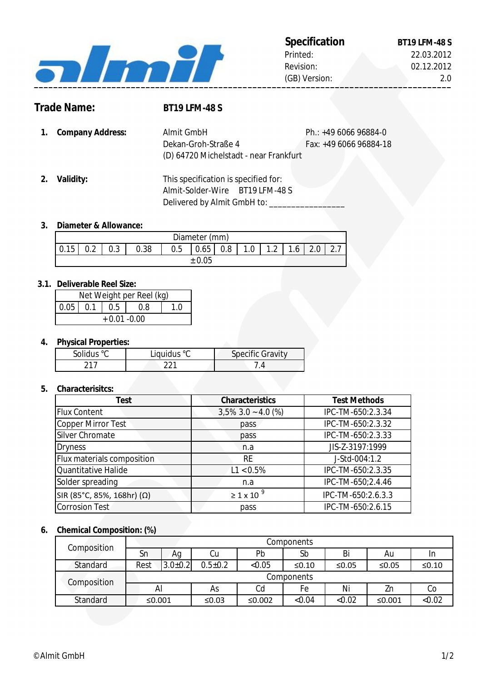

2.0

# **Trade Name: BT19 LFM-48 S**

**1.** Ph.: +49 6066 96884-0 **Company Address:** Fax: +49 6066 96884-18 Dekan-Groh-Straße 4 Almit GmbH (D) 64720 Michelstadt - near Frankfurt

**2. Validity:** This specification is specified for: Almit-Solder-Wire BT19 LFM-48 S Delivered by Almit GmbH to: \_\_\_\_\_\_\_\_\_

### **3. Diameter & Allowance:**

| Diameter (mm) |               |               |      |     |      |     |          |                   |          |                     |          |
|---------------|---------------|---------------|------|-----|------|-----|----------|-------------------|----------|---------------------|----------|
| Е             | $\cap$<br>◡.∠ | $\sim$<br>∪.∪ | 0.38 | 0.5 | 0.65 | 0.8 | ◢<br>1.U | $\sim$<br>$\cdot$ | ◢<br>1.6 | $\Omega$<br><u></u> | <u>.</u> |
|               |               |               |      |     | .05  |     |          |                   |          |                     |          |

#### **3.1. Deliverable Reel Size:**

| Net Weight per Reel (kg) |  |                |     |  |  |  |
|--------------------------|--|----------------|-----|--|--|--|
|                          |  | $0.05$ 0.1 0.5 | 0.8 |  |  |  |
| $+0.01 - 0.00$           |  |                |     |  |  |  |

### **4. Physical Properties:**

| Solidus °C | Liquidus °C | <b>Specific Gravity</b> |
|------------|-------------|-------------------------|
|            |             |                         |

#### **5. Characterisitcs:**

| <b>Test</b>                | <b>Characteristics</b>     | <b>Test Methods</b> |
|----------------------------|----------------------------|---------------------|
| <b>Flux Content</b>        | $3,5\%$ 3.0 ~ 4.0 (%)      | IPC-TM-650:2.3.34   |
| Copper Mirror Test         | pass                       | IPC-TM-650:2.3.32   |
| Silver Chromate            | pass                       | IPC-TM-650:2.3.33   |
| <b>Dryness</b>             | n.a                        | JIS-Z-3197:1999     |
| Flux materials composition | <b>RE</b>                  | J-Std-004:1.2       |
| Quantitative Halide        | $L1 < 0.5\%$               | IPC-TM-650:2.3.35   |
| Solder spreading           | n.a                        | IPC-TM-650;2.4.46   |
| SIR (85°C, 85%, 168hr) (Ω) | $\geq$ 1 x 10 <sup>9</sup> | IPC-TM-650:2.6.3.3  |
| <b>Corrosion Test</b>      | pass                       | IPC-TM-650:2.6.15   |

#### **6. Chemical Composition: (%)**

| Composition | Components |               |               |        |             |          |        |         |
|-------------|------------|---------------|---------------|--------|-------------|----------|--------|---------|
|             | Sn         | Аg            | Cu            | Pb     | Sb          | Bi       | Au     | In      |
| Standard    | Rest       | $3.0 \pm 0.2$ | $0.5 \pm 0.2$ | < 0.05 | $\leq 0.10$ | ≤ $0.05$ | ≤0.05  | $≤0.10$ |
| Composition | Components |               |               |        |             |          |        |         |
|             | Al         |               | As            | Cd     | Fe          | Ni       | Zn     | Co      |
| Standard    | ≤0.001     |               | ≤0.03         | ≤0.002 | < 0.04      | < 0.02   | ≤0.001 | < 0.02  |